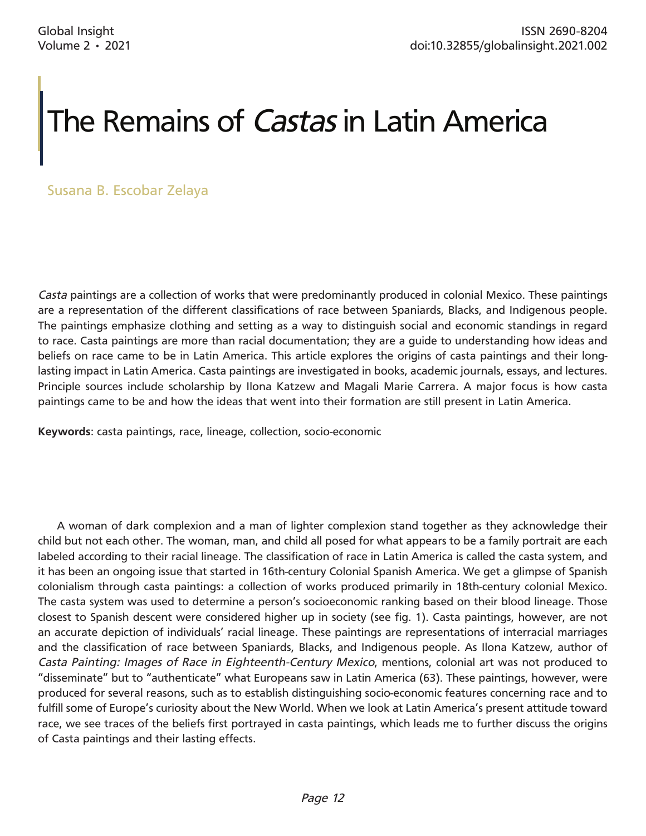## The Remains of *Castas* in Latin America

Susana B. Escobar Zelaya

*Casta* paintings are a collection of works that were predominantly produced in colonial Mexico. These paintings are a representation of the different classifications of race between Spaniards, Blacks, and Indigenous people. The paintings emphasize clothing and setting as a way to distinguish social and economic standings in regard to race. Casta paintings are more than racial documentation; they are a guide to understanding how ideas and beliefs on race came to be in Latin America. This article explores the origins of casta paintings and their longlasting impact in Latin America. Casta paintings are investigated in books, academic journals, essays, and lectures. Principle sources include scholarship by Ilona Katzew and Magali Marie Carrera. A major focus is how casta paintings came to be and how the ideas that went into their formation are still present in Latin America.

**Keywords**: casta paintings, race, lineage, collection, socio-economic

A woman of dark complexion and a man of lighter complexion stand together as they acknowledge their child but not each other. The woman, man, and child all posed for what appears to be a family portrait are each labeled according to their racial lineage. The classification of race in Latin America is called the casta system, and it has been an ongoing issue that started in 16th-century Colonial Spanish America. We get a glimpse of Spanish colonialism through casta paintings: a collection of works produced primarily in 18th-century colonial Mexico. The casta system was used to determine a person's socioeconomic ranking based on their blood lineage. Those closest to Spanish descent were considered higher up in society (see fig. 1). Casta paintings, however, are not an accurate depiction of individuals' racial lineage. These paintings are representations of interracial marriages and the classification of race between Spaniards, Blacks, and Indigenous people. As Ilona Katzew, author of *Casta Painting: Images of Race in Eighteenth-Century Mexico*, mentions, colonial art was not produced to "disseminate" but to "authenticate" what Europeans saw in Latin America (63). These paintings, however, were produced for several reasons, such as to establish distinguishing socio-economic features concerning race and to fulfill some of Europe's curiosity about the New World. When we look at Latin America's present attitude toward race, we see traces of the beliefs first portrayed in casta paintings, which leads me to further discuss the origins of Casta paintings and their lasting effects.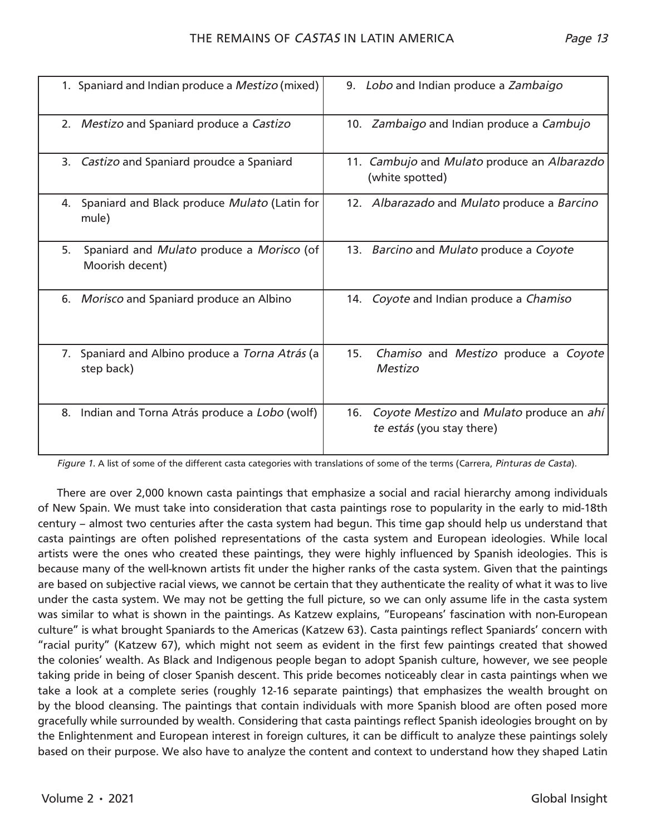| 1. Spaniard and Indian produce a Mestizo (mixed)                   | 9. Lobo and Indian produce a Zambaigo                                        |
|--------------------------------------------------------------------|------------------------------------------------------------------------------|
| 2. Mestizo and Spaniard produce a Castizo                          | 10. Zambaigo and Indian produce a Cambujo                                    |
| Castizo and Spaniard proudce a Spaniard<br>3.                      | 11. Cambujo and Mulato produce an Albarazdo<br>(white spotted)               |
| Spaniard and Black produce Mulato (Latin for<br>4.<br>mule)        | 12. Albarazado and Mulato produce a Barcino                                  |
| 5.<br>Spaniard and Mulato produce a Morisco (of<br>Moorish decent) | 13. Barcino and Mulato produce a Coyote                                      |
| 6. Morisco and Spaniard produce an Albino                          | 14. Coyote and Indian produce a Chamiso                                      |
| 7. Spaniard and Albino produce a Torna Atrás (a<br>step back)      | 15.<br>Chamiso and Mestizo produce a Coyote<br>Mestizo                       |
| Indian and Torna Atrás produce a Lobo (wolf)<br>8.                 | Coyote Mestizo and Mulato produce an ahí<br>16.<br>te estás (you stay there) |

*Figure 1.* A list of some of the different casta categories with translations of some of the terms (Carrera, *Pinturas de Casta*).

There are over 2,000 known casta paintings that emphasize a social and racial hierarchy among individuals of New Spain. We must take into consideration that casta paintings rose to popularity in the early to mid-18th century – almost two centuries after the casta system had begun. This time gap should help us understand that casta paintings are often polished representations of the casta system and European ideologies. While local artists were the ones who created these paintings, they were highly influenced by Spanish ideologies. This is because many of the well-known artists fit under the higher ranks of the casta system. Given that the paintings are based on subjective racial views, we cannot be certain that they authenticate the reality of what it was to live under the casta system. We may not be getting the full picture, so we can only assume life in the casta system was similar to what is shown in the paintings. As Katzew explains, "Europeans' fascination with non-European culture" is what brought Spaniards to the Americas (Katzew 63). Casta paintings reflect Spaniards' concern with "racial purity" (Katzew 67), which might not seem as evident in the first few paintings created that showed the colonies' wealth. As Black and Indigenous people began to adopt Spanish culture, however, we see people taking pride in being of closer Spanish descent. This pride becomes noticeably clear in casta paintings when we take a look at a complete series (roughly 12-16 separate paintings) that emphasizes the wealth brought on by the blood cleansing. The paintings that contain individuals with more Spanish blood are often posed more gracefully while surrounded by wealth. Considering that casta paintings reflect Spanish ideologies brought on by the Enlightenment and European interest in foreign cultures, it can be difficult to analyze these paintings solely based on their purpose. We also have to analyze the content and context to understand how they shaped Latin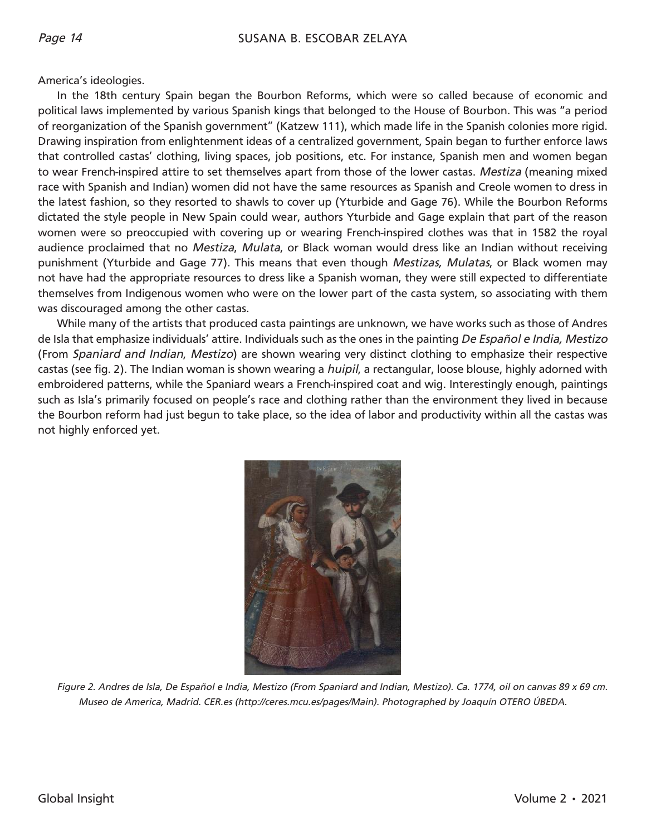America's ideologies.

In the 18th century Spain began the Bourbon Reforms, which were so called because of economic and political laws implemented by various Spanish kings that belonged to the House of Bourbon. This was "a period of reorganization of the Spanish government" (Katzew 111), which made life in the Spanish colonies more rigid. Drawing inspiration from enlightenment ideas of a centralized government, Spain began to further enforce laws that controlled castas' clothing, living spaces, job positions, etc. For instance, Spanish men and women began to wear French-inspired attire to set themselves apart from those of the lower castas. *Mestiza* (meaning mixed race with Spanish and Indian) women did not have the same resources as Spanish and Creole women to dress in the latest fashion, so they resorted to shawls to cover up (Yturbide and Gage 76). While the Bourbon Reforms dictated the style people in New Spain could wear, authors Yturbide and Gage explain that part of the reason women were so preoccupied with covering up or wearing French-inspired clothes was that in 1582 the royal audience proclaimed that no *Mestiza*, *Mulata*, or Black woman would dress like an Indian without receiving punishment (Yturbide and Gage 77). This means that even though *Mestizas, Mulatas*, or Black women may not have had the appropriate resources to dress like a Spanish woman, they were still expected to differentiate themselves from Indigenous women who were on the lower part of the casta system, so associating with them was discouraged among the other castas.

While many of the artists that produced casta paintings are unknown, we have works such as those of Andres de Isla that emphasize individuals' attire. Individuals such as the ones in the painting *De Español e India, Mestizo*  (From *Spaniard and Indian*, *Mestizo*) are shown wearing very distinct clothing to emphasize their respective castas (see fig. 2). The Indian woman is shown wearing a *huipil*, a rectangular, loose blouse, highly adorned with embroidered patterns, while the Spaniard wears a French-inspired coat and wig. Interestingly enough, paintings such as Isla's primarily focused on people's race and clothing rather than the environment they lived in because the Bourbon reform had just begun to take place, so the idea of labor and productivity within all the castas was not highly enforced yet.



*Figure 2. Andres de Isla, De Español e India, Mestizo (From Spaniard and Indian, Mestizo). Ca. 1774, oil on canvas 89 x 69 cm. Museo de America, Madrid. CER.es (http://ceres.mcu.es/pages/Main). Photographed by Joaquín OTERO ÚBEDA.*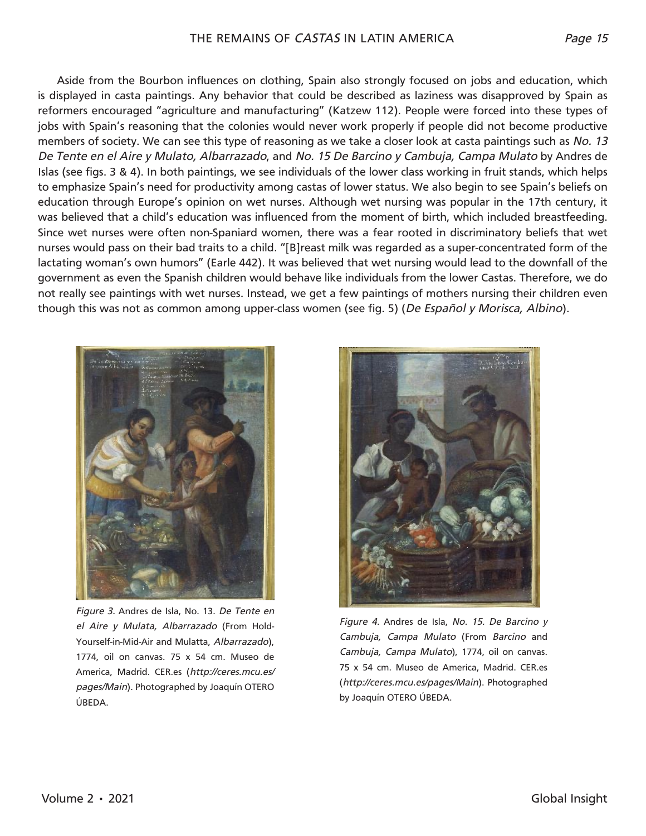Aside from the Bourbon influences on clothing, Spain also strongly focused on jobs and education, which is displayed in casta paintings. Any behavior that could be described as laziness was disapproved by Spain as reformers encouraged "agriculture and manufacturing" (Katzew 112). People were forced into these types of jobs with Spain's reasoning that the colonies would never work properly if people did not become productive members of society. We can see this type of reasoning as we take a closer look at casta paintings such as *No. 13 De Tente en el Aire y Mulato, Albarrazado*, and *No. 15 De Barcino y Cambuja, Campa Mulato* by Andres de Islas (see figs. 3 & 4). In both paintings, we see individuals of the lower class working in fruit stands, which helps to emphasize Spain's need for productivity among castas of lower status. We also begin to see Spain's beliefs on education through Europe's opinion on wet nurses. Although wet nursing was popular in the 17th century, it was believed that a child's education was influenced from the moment of birth, which included breastfeeding. Since wet nurses were often non-Spaniard women, there was a fear rooted in discriminatory beliefs that wet nurses would pass on their bad traits to a child. "[B]reast milk was regarded as a super-concentrated form of the lactating woman's own humors" (Earle 442). It was believed that wet nursing would lead to the downfall of the government as even the Spanish children would behave like individuals from the lower Castas. Therefore, we do not really see paintings with wet nurses. Instead, we get a few paintings of mothers nursing their children even though this was not as common among upper-class women (see fig. 5) (*De Español y Morisca, Albino*).



*Figure 3.* Andres de Isla, No. 13. *De Tente en el Aire y Mulata, Albarrazado* (From Hold-Yourself-in-Mid-Air and Mulatta, *Albarrazado*), 1774, oil on canvas. 75 x 54 cm. Museo de America, Madrid. CER.es (*http://ceres.mcu.es/ pages/Main*). Photographed by Joaquín OTERO ÚBEDA.



*Figure 4.* Andres de Isla, *No. 15. De Barcino y Cambuja, Campa Mulato* (From *Barcino* and *Cambuja, Campa Mulato*), 1774, oil on canvas. 75 x 54 cm. Museo de America, Madrid. CER.es (*http://ceres.mcu.es/pages/Main*). Photographed by Joaquín OTERO ÚBEDA.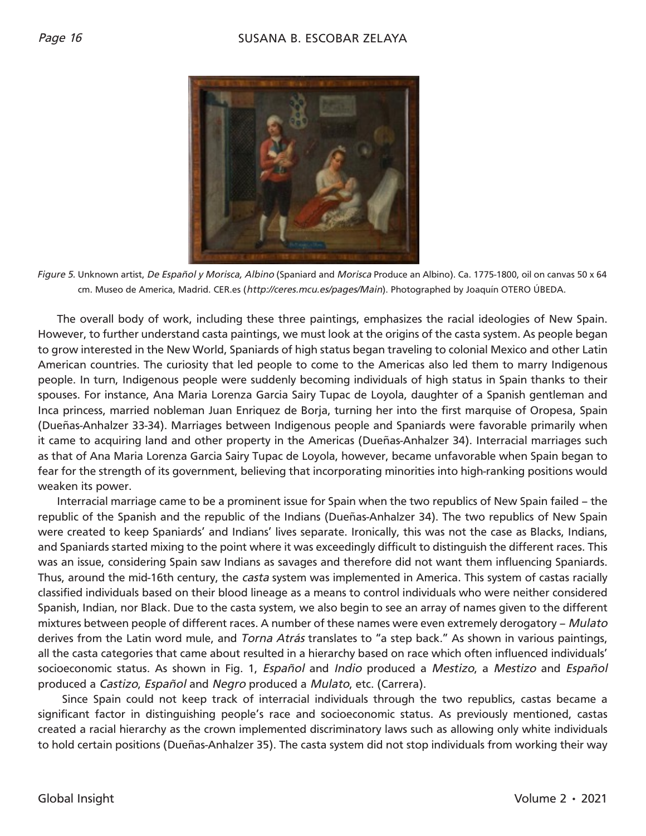

*Figure 5.* Unknown artist, *De Español y Morisca, Albino* (Spaniard and *Morisca* Produce an Albino). Ca. 1775-1800, oil on canvas 50 x 64 cm. Museo de America, Madrid. CER.es (*http://ceres.mcu.es/pages/Main*). Photographed by Joaquín OTERO ÚBEDA.

The overall body of work, including these three paintings, emphasizes the racial ideologies of New Spain. However, to further understand casta paintings, we must look at the origins of the casta system. As people began to grow interested in the New World, Spaniards of high status began traveling to colonial Mexico and other Latin American countries. The curiosity that led people to come to the Americas also led them to marry Indigenous people. In turn, Indigenous people were suddenly becoming individuals of high status in Spain thanks to their spouses. For instance, Ana Maria Lorenza Garcia Sairy Tupac de Loyola, daughter of a Spanish gentleman and Inca princess, married nobleman Juan Enriquez de Borja, turning her into the first marquise of Oropesa, Spain (Dueñas-Anhalzer 33-34). Marriages between Indigenous people and Spaniards were favorable primarily when it came to acquiring land and other property in the Americas (Dueñas-Anhalzer 34). Interracial marriages such as that of Ana Maria Lorenza Garcia Sairy Tupac de Loyola, however, became unfavorable when Spain began to fear for the strength of its government, believing that incorporating minorities into high-ranking positions would weaken its power.

Interracial marriage came to be a prominent issue for Spain when the two republics of New Spain failed – the republic of the Spanish and the republic of the Indians (Dueñas-Anhalzer 34). The two republics of New Spain were created to keep Spaniards' and Indians' lives separate. Ironically, this was not the case as Blacks, Indians, and Spaniards started mixing to the point where it was exceedingly difficult to distinguish the different races. This was an issue, considering Spain saw Indians as savages and therefore did not want them influencing Spaniards. Thus, around the mid-16th century, the *casta* system was implemented in America. This system of castas racially classified individuals based on their blood lineage as a means to control individuals who were neither considered Spanish, Indian, nor Black. Due to the casta system, we also begin to see an array of names given to the different mixtures between people of different races. A number of these names were even extremely derogatory – *Mulato* derives from the Latin word mule, and *Torna Atrás* translates to "a step back." As shown in various paintings, all the casta categories that came about resulted in a hierarchy based on race which often influenced individuals' socioeconomic status. As shown in Fig. 1, *Español* and *Indio* produced a *Mestizo*, a *Mestizo* and *Español* produced a *Castizo*, *Español* and *Negro* produced a *Mulato*, etc. (Carrera).

 Since Spain could not keep track of interracial individuals through the two republics, castas became a significant factor in distinguishing people's race and socioeconomic status. As previously mentioned, castas created a racial hierarchy as the crown implemented discriminatory laws such as allowing only white individuals to hold certain positions (Dueñas-Anhalzer 35). The casta system did not stop individuals from working their way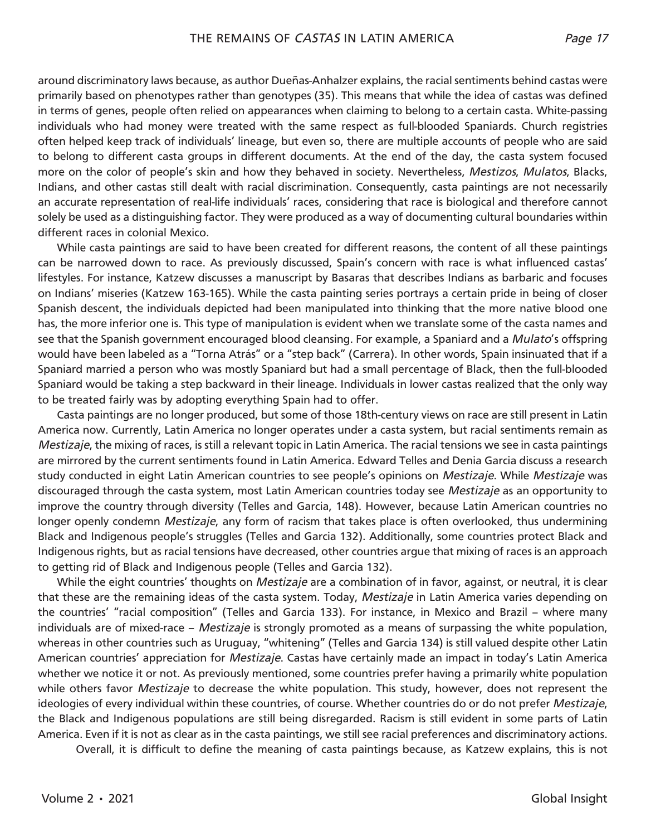around discriminatory laws because, as author Dueñas-Anhalzer explains, the racial sentiments behind castas were primarily based on phenotypes rather than genotypes (35). This means that while the idea of castas was defined in terms of genes, people often relied on appearances when claiming to belong to a certain casta. White-passing individuals who had money were treated with the same respect as full-blooded Spaniards. Church registries often helped keep track of individuals' lineage, but even so, there are multiple accounts of people who are said to belong to different casta groups in different documents. At the end of the day, the casta system focused more on the color of people's skin and how they behaved in society. Nevertheless, *Mestizos*, *Mulatos*, Blacks, Indians, and other castas still dealt with racial discrimination. Consequently, casta paintings are not necessarily an accurate representation of real-life individuals' races, considering that race is biological and therefore cannot solely be used as a distinguishing factor. They were produced as a way of documenting cultural boundaries within different races in colonial Mexico.

While casta paintings are said to have been created for different reasons, the content of all these paintings can be narrowed down to race. As previously discussed, Spain's concern with race is what influenced castas' lifestyles. For instance, Katzew discusses a manuscript by Basaras that describes Indians as barbaric and focuses on Indians' miseries (Katzew 163-165). While the casta painting series portrays a certain pride in being of closer Spanish descent, the individuals depicted had been manipulated into thinking that the more native blood one has, the more inferior one is. This type of manipulation is evident when we translate some of the casta names and see that the Spanish government encouraged blood cleansing. For example, a Spaniard and a *Mulato*'s offspring would have been labeled as a "Torna Atrás" or a "step back" (Carrera). In other words, Spain insinuated that if a Spaniard married a person who was mostly Spaniard but had a small percentage of Black, then the full-blooded Spaniard would be taking a step backward in their lineage. Individuals in lower castas realized that the only way to be treated fairly was by adopting everything Spain had to offer.

Casta paintings are no longer produced, but some of those 18th-century views on race are still present in Latin America now. Currently, Latin America no longer operates under a casta system, but racial sentiments remain as *Mestizaje*, the mixing of races, is still a relevant topic in Latin America. The racial tensions we see in casta paintings are mirrored by the current sentiments found in Latin America. Edward Telles and Denia Garcia discuss a research study conducted in eight Latin American countries to see people's opinions on *Mestizaje*. While *Mestizaje* was discouraged through the casta system, most Latin American countries today see *Mestizaje* as an opportunity to improve the country through diversity (Telles and Garcia, 148). However, because Latin American countries no longer openly condemn *Mestizaje*, any form of racism that takes place is often overlooked, thus undermining Black and Indigenous people's struggles (Telles and Garcia 132). Additionally, some countries protect Black and Indigenous rights, but as racial tensions have decreased, other countries argue that mixing of races is an approach to getting rid of Black and Indigenous people (Telles and Garcia 132).

While the eight countries' thoughts on *Mestizaje* are a combination of in favor, against, or neutral, it is clear that these are the remaining ideas of the casta system. Today, *Mestizaje* in Latin America varies depending on the countries' "racial composition" (Telles and Garcia 133). For instance, in Mexico and Brazil – where many individuals are of mixed-race – *Mestizaje* is strongly promoted as a means of surpassing the white population, whereas in other countries such as Uruguay, "whitening" (Telles and Garcia 134) is still valued despite other Latin American countries' appreciation for *Mestizaje*. Castas have certainly made an impact in today's Latin America whether we notice it or not. As previously mentioned, some countries prefer having a primarily white population while others favor *Mestizaje* to decrease the white population. This study, however, does not represent the ideologies of every individual within these countries, of course. Whether countries do or do not prefer *Mestizaje*, the Black and Indigenous populations are still being disregarded. Racism is still evident in some parts of Latin America. Even if it is not as clear as in the casta paintings, we still see racial preferences and discriminatory actions.

Overall, it is difficult to define the meaning of casta paintings because, as Katzew explains, this is not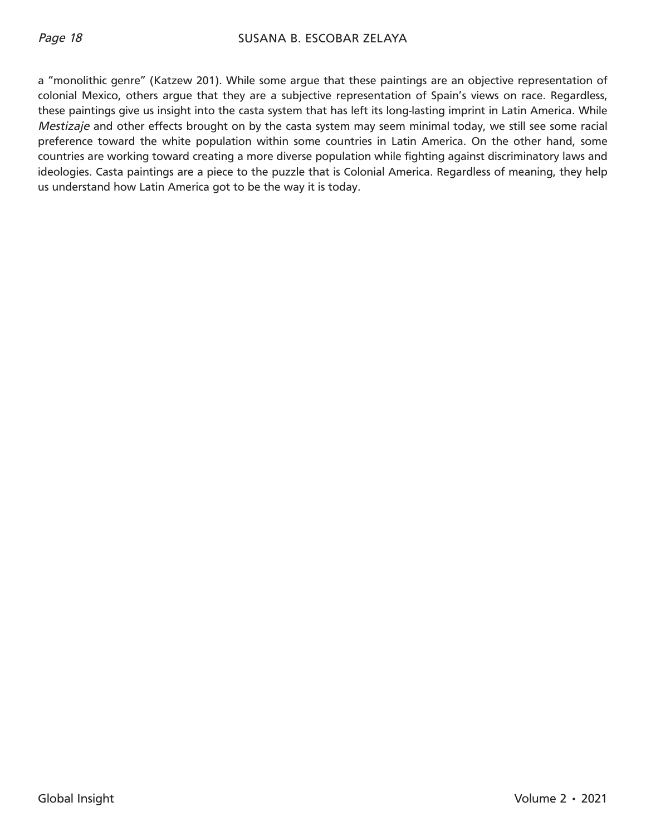a "monolithic genre" (Katzew 201). While some argue that these paintings are an objective representation of colonial Mexico, others argue that they are a subjective representation of Spain's views on race. Regardless, these paintings give us insight into the casta system that has left its long-lasting imprint in Latin America. While *Mestizaje* and other effects brought on by the casta system may seem minimal today, we still see some racial preference toward the white population within some countries in Latin America. On the other hand, some countries are working toward creating a more diverse population while fighting against discriminatory laws and ideologies. Casta paintings are a piece to the puzzle that is Colonial America. Regardless of meaning, they help us understand how Latin America got to be the way it is today.